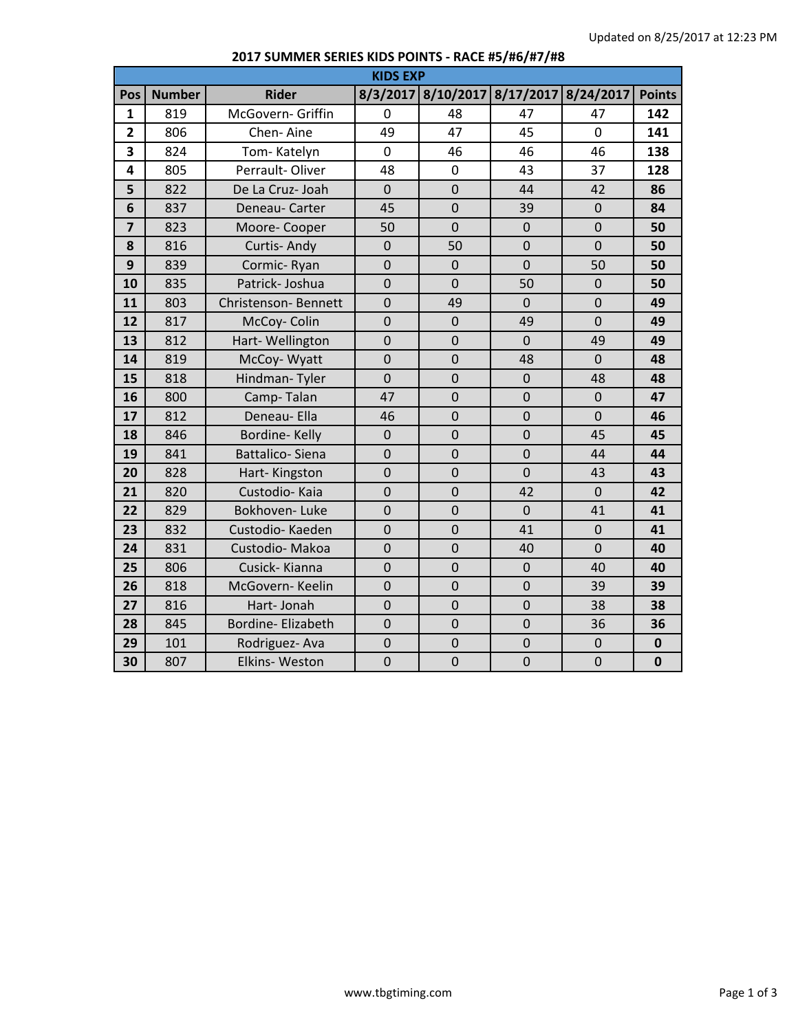| <b>KIDS EXP</b>         |               |                          |                |                |                     |                |               |  |
|-------------------------|---------------|--------------------------|----------------|----------------|---------------------|----------------|---------------|--|
| Pos                     | <b>Number</b> | <b>Rider</b>             | 8/3/2017       | 8/10/2017      | 8/17/2017 8/24/2017 |                | <b>Points</b> |  |
| $\mathbf{1}$            | 819           | McGovern- Griffin        | $\mathbf 0$    | 48             | 47                  | 47             | 142           |  |
| $\overline{\mathbf{2}}$ | 806           | Chen-Aine                | 49             | 47             | 45                  | $\overline{0}$ | 141           |  |
| 3                       | 824           | Tom-Katelyn              | $\mathbf 0$    | 46             | 46                  | 46             | 138           |  |
| 4                       | 805           | Perrault-Oliver          | 48             | $\mathbf 0$    | 43                  | 37             | 128           |  |
| 5                       | 822           | De La Cruz- Joah         | $\mathbf 0$    | $\overline{0}$ | 44                  | 42             | 86            |  |
| 6                       | 837           | Deneau- Carter           | 45             | $\overline{0}$ | 39                  | $\mathbf 0$    | 84            |  |
| $\overline{\mathbf{z}}$ | 823           | Moore-Cooper             | 50             | $\mathbf 0$    | $\mathbf 0$         | $\mathbf 0$    | 50            |  |
| 8                       | 816           | Curtis-Andy              | $\mathbf 0$    | 50             | $\overline{0}$      | $\mathbf 0$    | 50            |  |
| 9                       | 839           | Cormic-Ryan              | $\mathbf 0$    | $\mathbf 0$    | $\overline{0}$      | 50             | 50            |  |
| 10                      | 835           | Patrick-Joshua           | $\overline{0}$ | $\overline{0}$ | 50                  | $\overline{0}$ | 50            |  |
| 11                      | 803           | Christenson-Bennett      | $\mathbf 0$    | 49             | $\overline{0}$      | $\overline{0}$ | 49            |  |
| 12                      | 817           | McCoy-Colin              | $\mathbf 0$    | $\mathbf 0$    | 49                  | $\overline{0}$ | 49            |  |
| 13                      | 812           | Hart-Wellington          | $\mathbf 0$    | $\overline{0}$ | $\overline{0}$      | 49             | 49            |  |
| 14                      | 819           | McCoy-Wyatt              | $\mathbf 0$    | $\mathbf 0$    | 48                  | $\mathbf 0$    | 48            |  |
| 15                      | 818           | Hindman-Tyler            | $\mathbf 0$    | $\overline{0}$ | $\mathbf 0$         | 48             | 48            |  |
| 16                      | 800           | Camp-Talan               | 47             | $\overline{0}$ | $\overline{0}$      | $\overline{0}$ | 47            |  |
| 17                      | 812           | Deneau- Ella             | 46             | $\overline{0}$ | $\overline{0}$      | $\mathbf 0$    | 46            |  |
| 18                      | 846           | Bordine-Kelly            | $\mathbf 0$    | $\mathbf 0$    | $\overline{0}$      | 45             | 45            |  |
| 19                      | 841           | <b>Battalico-Siena</b>   | $\mathbf 0$    | $\overline{0}$ | $\overline{0}$      | 44             | 44            |  |
| 20                      | 828           | Hart-Kingston            | $\mathbf 0$    | $\overline{0}$ | $\overline{0}$      | 43             | 43            |  |
| 21                      | 820           | Custodio- Kaia           | $\mathbf 0$    | $\overline{0}$ | 42                  | $\mathbf 0$    | 42            |  |
| 22                      | 829           | Bokhoven-Luke            | $\mathbf 0$    | $\overline{0}$ | $\overline{0}$      | 41             | 41            |  |
| 23                      | 832           | Custodio-Kaeden          | $\mathbf 0$    | $\overline{0}$ | 41                  | $\mathbf 0$    | 41            |  |
| 24                      | 831           | Custodio-Makoa           | $\mathbf 0$    | $\overline{0}$ | 40                  | $\overline{0}$ | 40            |  |
| 25                      | 806           | Cusick-Kianna            | $\mathbf 0$    | $\mathbf 0$    | $\mathbf 0$         | 40             | 40            |  |
| 26                      | 818           | McGovern-Keelin          | $\mathbf 0$    | $\overline{0}$ | $\mathbf 0$         | 39             | 39            |  |
| 27                      | 816           | Hart-Jonah               | $\mathbf 0$    | $\overline{0}$ | $\overline{0}$      | 38             | 38            |  |
| 28                      | 845           | <b>Bordine-Elizabeth</b> | $\mathbf 0$    | $\overline{0}$ | $\overline{0}$      | 36             | 36            |  |
| 29                      | 101           | Rodriguez-Ava            | $\mathbf 0$    | $\mathbf 0$    | $\mathbf 0$         | $\mathbf 0$    | $\bf{0}$      |  |
| 30                      | 807           | <b>Elkins-Weston</b>     | $\mathbf 0$    | $\mathbf 0$    | $\overline{0}$      | $\overline{0}$ | $\mathbf 0$   |  |

## **2017 SUMMER SERIES KIDS POINTS - RACE #5/#6/#7/#8**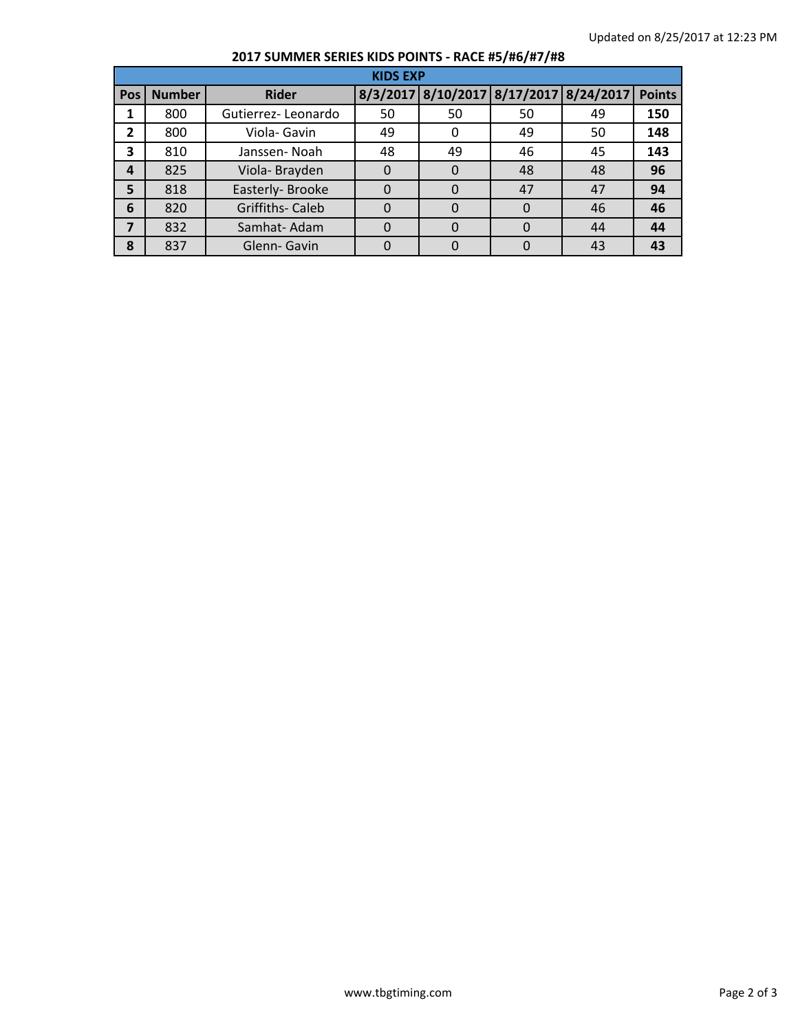## **2017 SUMMER SERIES KIDS POINTS - RACE #5/#6/#7/#8**

| <b>KIDS EXP</b> |               |                        |          |                                        |    |    |               |  |
|-----------------|---------------|------------------------|----------|----------------------------------------|----|----|---------------|--|
| Pos             | <b>Number</b> | <b>Rider</b>           |          | 8/3/2017 8/10/2017 8/17/2017 8/24/2017 |    |    | <b>Points</b> |  |
|                 | 800           | Gutierrez-Leonardo     | 50       | 50                                     | 50 | 49 | 150           |  |
| $\overline{2}$  | 800           | Viola- Gavin           | 49       |                                        | 49 | 50 | 148           |  |
| 3               | 810           | Janssen-Noah           | 48       | 49                                     | 46 | 45 | 143           |  |
| 4               | 825           | Viola-Brayden          | $\Omega$ |                                        | 48 | 48 | 96            |  |
| 5               | 818           | Easterly-Brooke        | 0        |                                        | 47 | 47 | 94            |  |
| 6               | 820           | <b>Griffiths-Caleb</b> | $\Omega$ |                                        | 0  | 46 | 46            |  |
| $\overline{7}$  | 832           | Samhat-Adam            | $\Omega$ |                                        | 0  | 44 | 44            |  |
| 8               | 837           | Glenn-Gavin            | $\Omega$ |                                        |    | 43 | 43            |  |